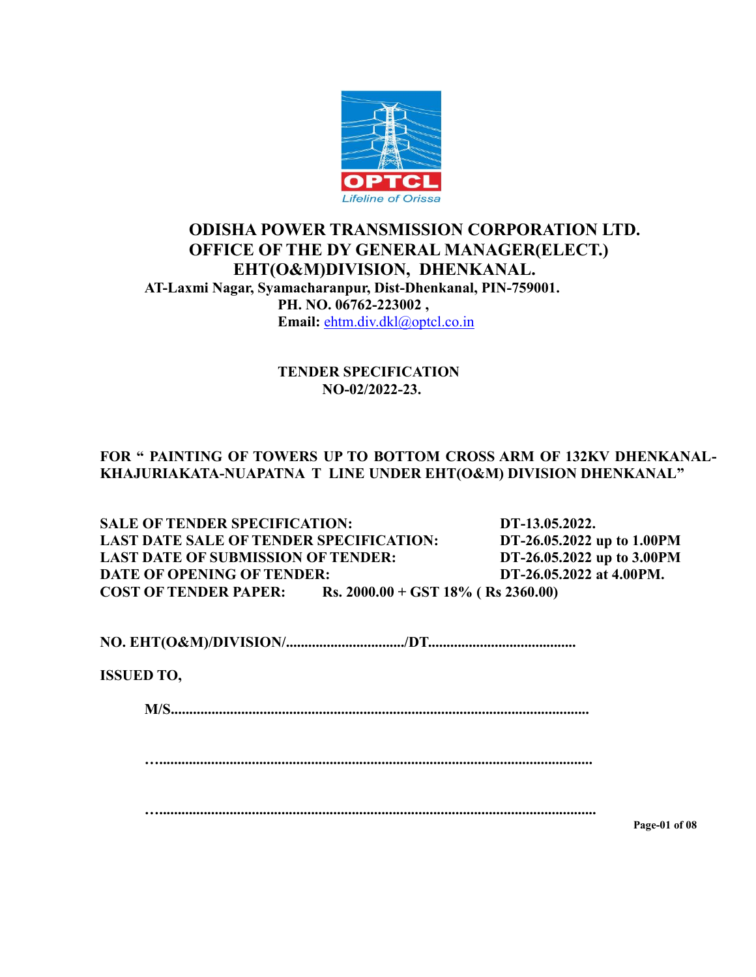

# **ODISHA POWER TRANSMISSION CORPORATION LTD. OFFICE OF THE DY GENERAL MANAGER(ELECT.) EHT(O&M)DIVISION, DHENKANAL. AT-Laxmi Nagar, Syamacharanpur, Dist-Dhenkanal, PIN-759001. PH. NO. 06762-223002 , Email:** [ehtm.div.dkl@optcl.co.in](mailto:ehtm.div.rng@optcl.co.in)

#### **TENDER SPECIFICATION NO-02/2022-23.**

## **FOR " PAINTING OF TOWERS UP TO BOTTOM CROSS ARM OF 132KV DHENKANAL-KHAJURIAKATA-NUAPATNA T LINE UNDER EHT(O&M) DIVISION DHENKANAL"**

**SALE OF TENDER SPECIFICATION: DT-13.05.2022. LAST DATE SALE OF TENDER SPECIFICATION: DT-26.05.2022 up to 1.00PM LAST DATE OF SUBMISSION OF TENDER: DT-26.05.2022 up to 3.00PM DATE OF OPENING OF TENDER: DT-26.05.2022 at 4.00PM. COST OF TENDER PAPER: Rs. 2000.00 + GST 18% ( Rs 2360.00)**

**NO. EHT(O&M)/DIVISION/................................/DT........................................**

**ISSUED TO,**

**M/S.................................................................................................................**

**….....................................................................................................................**

**…......................................................................................................................**

**Page-01 of 08**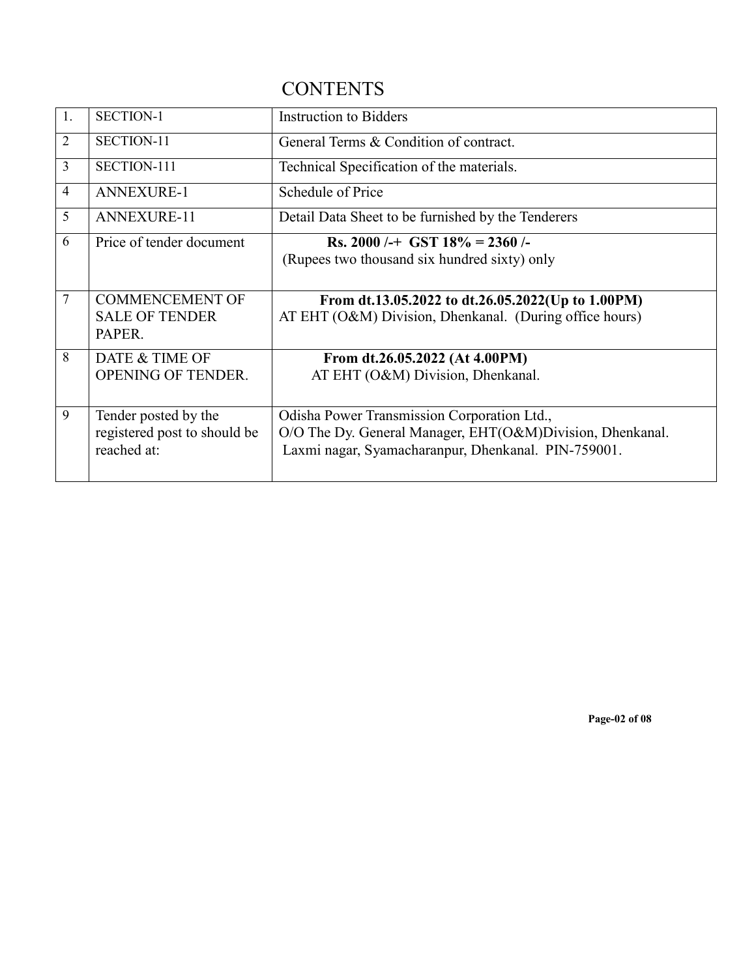# **CONTENTS**

| 1.             | <b>SECTION-1</b>             | <b>Instruction to Bidders</b>                             |
|----------------|------------------------------|-----------------------------------------------------------|
| $\overline{2}$ | SECTION-11                   | General Terms & Condition of contract.                    |
| $\overline{3}$ | SECTION-111                  | Technical Specification of the materials.                 |
| $\overline{4}$ | <b>ANNEXURE-1</b>            | Schedule of Price                                         |
| 5              | <b>ANNEXURE-11</b>           | Detail Data Sheet to be furnished by the Tenderers        |
| 6              | Price of tender document     | Rs. 2000 /-+ GST $18\%$ = 2360 /-                         |
|                |                              | (Rupees two thousand six hundred sixty) only              |
|                |                              |                                                           |
| 7              | <b>COMMENCEMENT OF</b>       | From dt.13.05.2022 to dt.26.05.2022(Up to 1.00PM)         |
|                | <b>SALE OF TENDER</b>        | AT EHT (O&M) Division, Dhenkanal. (During office hours)   |
|                | PAPER.                       |                                                           |
|                |                              |                                                           |
| 8              | DATE & TIME OF               | From dt.26.05.2022 (At 4.00PM)                            |
|                | <b>OPENING OF TENDER.</b>    | AT EHT (O&M) Division, Dhenkanal.                         |
|                |                              |                                                           |
| 9              | Tender posted by the         | Odisha Power Transmission Corporation Ltd.,               |
|                | registered post to should be | O/O The Dy. General Manager, EHT(O&M)Division, Dhenkanal. |
|                | reached at:                  | Laxmi nagar, Syamacharanpur, Dhenkanal. PIN-759001.       |
|                |                              |                                                           |

**Page-02 of 08**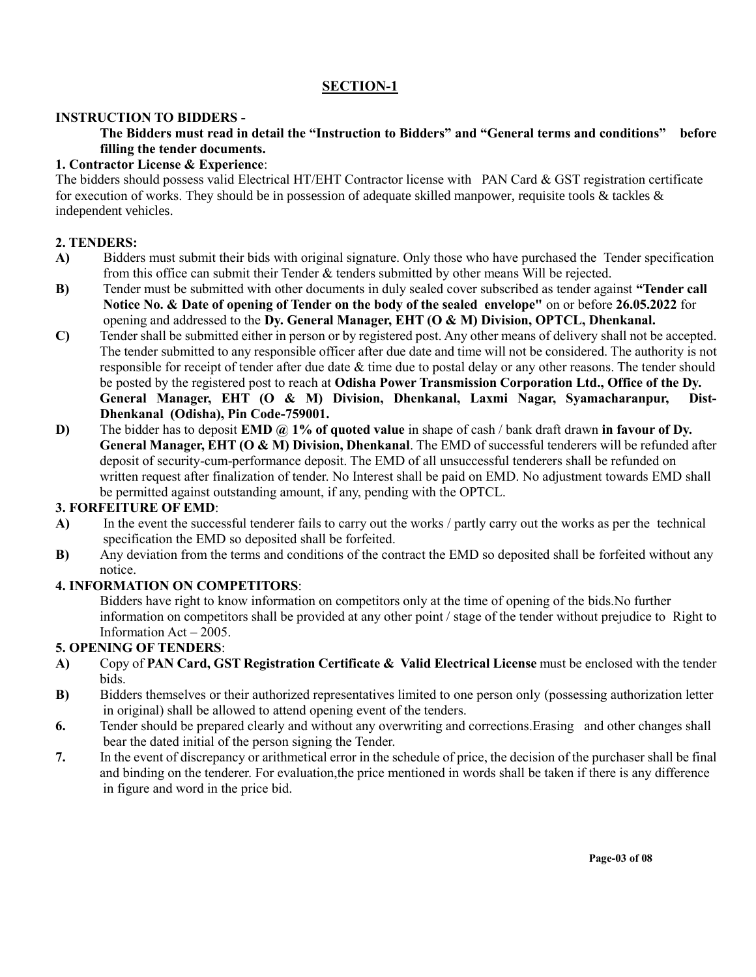# **SECTION-1**

#### **INSTRUCTION TO BIDDERS -**

#### **The Bidders must read in detail the "Instruction to Bidders" and "General terms and conditions" before filling the tender documents.**

#### **1. Contractor License & Experience**:

The bidders should possess valid Electrical HT/EHT Contractor license with PAN Card & GST registration certificate for execution of works. They should be in possession of adequate skilled manpower, requisite tools  $\&$  tackles  $\&$ independent vehicles.

#### **2. TENDERS:**

- **A)** Bidders must submit their bids with original signature. Only those who have purchased the Tender specification from this office can submit their Tender & tenders submitted by other means Will be rejected.
- **B)** Tender must be submitted with other documents in duly sealed cover subscribed as tender against **"Tender call Notice No. & Date of opening of Tender on the body of the sealed envelope"** on or before **26.05.2022** for opening and addressed to the **Dy. General Manager, EHT (O & M) Division, OPTCL, Dhenkanal.**
- **C)** Tender shall be submitted either in person or by registered post. Any other means of delivery shall not be accepted. The tender submitted to any responsible officer after due date and time will not be considered. The authority is not responsible for receipt of tender after due date & time due to postal delay or any other reasons. The tender should be posted by the registered post to reach at **Odisha Power Transmission Corporation Ltd., Office of the Dy. General Manager, EHT (O & M) Division, Dhenkanal, Laxmi Nagar, Syamacharanpur, Dist-Dhenkanal (Odisha), Pin Code-759001.**
- **D)** The bidder has to deposit **EMD @ 1% of quoted value** in shape of cash / bank draft drawn **in favour of Dy. General Manager, EHT (O & M) Division, Dhenkanal**. The EMD of successful tenderers will be refunded after deposit of security-cum-performance deposit. The EMD of all unsuccessful tenderers shall be refunded on written request after finalization of tender. No Interest shall be paid on EMD. No adjustment towards EMD shall be permitted against outstanding amount, if any, pending with the OPTCL.

## **3. FORFEITURE OF EMD**:

- **A)** In the event the successful tenderer fails to carry out the works / partly carry out the works as per the technical specification the EMD so deposited shall be forfeited.
- **B)** Any deviation from the terms and conditions of the contract the EMD so deposited shall be forfeited without any notice.

#### **4. INFORMATION ON COMPETITORS**:

Bidders have right to know information on competitors only at the time of opening of the bids.No further information on competitors shall be provided at any other point / stage of the tender without prejudice to Right to Information Act – 2005.

#### **5. OPENING OF TENDERS**:

- **A)** Copy of **PAN Card, GST Registration Certificate & Valid Electrical License** must be enclosed with the tender bids.
- **B**) Bidders themselves or their authorized representatives limited to one person only (possessing authorization letter in original) shall be allowed to attend opening event of the tenders.
- **6.** Tender should be prepared clearly and without any overwriting and corrections.Erasing and other changes shall bear the dated initial of the person signing the Tender.
- **7.** In the event of discrepancy or arithmetical error in the schedule of price, the decision of the purchaser shall be final and binding on the tenderer. For evaluation,the price mentioned in words shall be taken if there is any difference in figure and word in the price bid.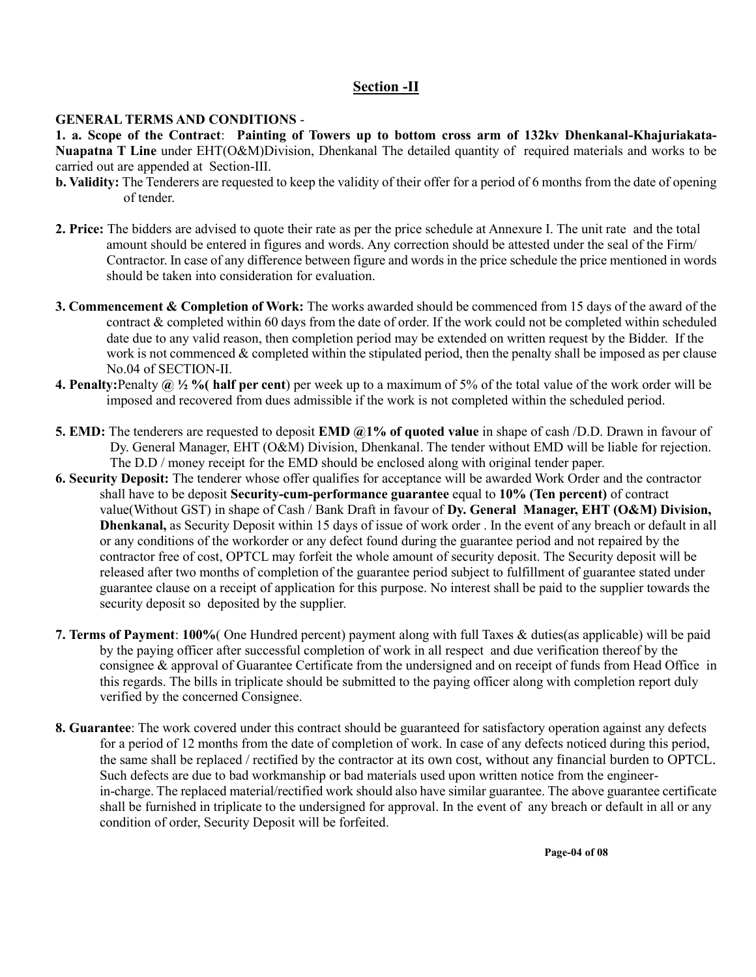#### **Section -II**

#### **GENERAL TERMS AND CONDITIONS** -

**1. a. Scope of the Contract**: **Painting of Towers up to bottom cross arm of 132kv Dhenkanal-Khajuriakata-Nuapatna T Line** under EHT(O&M)Division, Dhenkanal The detailed quantity of required materials and works to be carried out are appended at Section-III.

- **b. Validity:** The Tenderers are requested to keep the validity of their offer for a period of 6 months from the date of opening of tender.
- **2. Price:** The bidders are advised to quote their rate as per the price schedule at Annexure I. The unit rate and the total amount should be entered in figures and words. Any correction should be attested under the seal of the Firm/ Contractor. In case of any difference between figure and words in the price schedule the price mentioned in words should be taken into consideration for evaluation.
- **3. Commencement & Completion of Work:** The works awarded should be commenced from 15 days of the award of the contract & completed within 60 days from the date of order. If the work could not be completed within scheduled date due to any valid reason, then completion period may be extended on written request by the Bidder. If the work is not commenced & completed within the stipulated period, then the penalty shall be imposed as per clause No.04 of SECTION-II.
- **4. Penalty:**Penalty **@ ½ %( half per cent**) per week up to a maximum of 5% of the total value of the work order will be imposed and recovered from dues admissible if the work is not completed within the scheduled period.
- **5. EMD:** The tenderers are requested to deposit **EMD @1% of quoted value** in shape of cash /D.D. Drawn in favour of Dy. General Manager, EHT (O&M) Division, Dhenkanal. The tender without EMD will be liable for rejection. The D.D / money receipt for the EMD should be enclosed along with original tender paper.
- **6. Security Deposit:** The tenderer whose offer qualifies for acceptance will be awarded Work Order and the contractor shall have to be deposit **Security-cum-performance guarantee** equal to **10% (Ten percent)** of contract value(Without GST) in shape of Cash / Bank Draft in favour of **Dy. General Manager, EHT (O&M) Division, Dhenkanal,** as Security Deposit within 15 days of issue of work order . In the event of any breach or default in all or any conditions of the workorder or any defect found during the guarantee period and not repaired by the contractor free of cost, OPTCL may forfeit the whole amount of security deposit. The Security deposit will be released after two months of completion of the guarantee period subject to fulfillment of guarantee stated under guarantee clause on a receipt of application for this purpose. No interest shall be paid to the supplier towards the security deposit so deposited by the supplier.
- **7. Terms of Payment**: **100%**( One Hundred percent) payment along with full Taxes & duties(as applicable) will be paid by the paying officer after successful completion of work in all respect and due verification thereof by the consignee & approval of Guarantee Certificate from the undersigned and on receipt of funds from Head Office in this regards. The bills in triplicate should be submitted to the paying officer along with completion report duly verified by the concerned Consignee.
- **8. Guarantee**: The work covered under this contract should be guaranteed for satisfactory operation against any defects for a period of 12 months from the date of completion of work. In case of any defects noticed during this period, the same shall be replaced / rectified by the contractor at its own cost, without any financial burden to OPTCL. Such defects are due to bad workmanship or bad materials used upon written notice from the engineer in-charge. The replaced material/rectified work should also have similar guarantee. The above guarantee certificate shall be furnished in triplicate to the undersigned for approval. In the event of any breach or default in all or any condition of order, Security Deposit will be forfeited.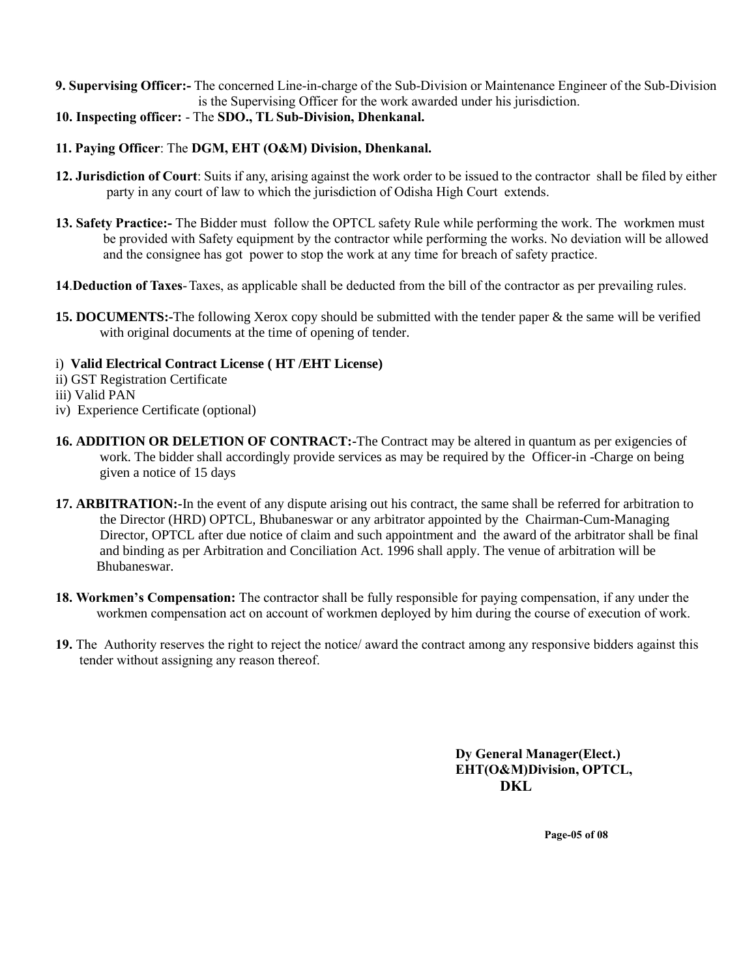**9. Supervising Officer:-** The concerned Line-in-charge of the Sub-Division or Maintenance Engineer of the Sub-Division is the Supervising Officer for the work awarded under his jurisdiction.

**10. Inspecting officer:** - The **SDO., TL Sub-Division, Dhenkanal.**

#### **11. Paying Officer**: The **DGM, EHT (O&M) Division, Dhenkanal.**

- **12. Jurisdiction of Court**: Suits if any, arising against the work order to be issued to the contractor shall be filed by either party in any court of law to which the jurisdiction of Odisha High Court extends.
- **13. Safety Practice:-** The Bidder must follow the OPTCL safety Rule while performing the work. The workmen must be provided with Safety equipment by the contractor while performing the works. No deviation will be allowed and the consignee has got power to stop the work at any time for breach of safety practice.
- **14**.**Deduction of Taxes**-Taxes, as applicable shall be deducted from the bill of the contractor as per prevailing rules.
- **15. DOCUMENTS:-**The following Xerox copy should be submitted with the tender paper & the same will be verified with original documents at the time of opening of tender.
- i) **Valid Electrical Contract License ( HT /EHT License)**
- ii) GST Registration Certificate
- iii) Valid PAN
- iv) Experience Certificate (optional)
- 16. ADDITION OR DELETION OF CONTRACT:-The Contract may be altered in quantum as per exigencies of work. The bidder shall accordingly provide services as may be required by the Officer-in -Charge on being given a notice of 15 days
- **17. ARBITRATION:-**In the event of any dispute arising out his contract, the same shall be referred for arbitration to the Director (HRD) OPTCL, Bhubaneswar or any arbitrator appointed by the Chairman-Cum-Managing Director, OPTCL after due notice of claim and such appointment and the award of the arbitrator shall be final and binding as per Arbitration and Conciliation Act. 1996 shall apply. The venue of arbitration will be Bhubaneswar.
- **18. Workmen's Compensation:** The contractor shall be fully responsible for paying compensation, if any under the workmen compensation act on account of workmen deployed by him during the course of execution of work.
- **19.** The Authority reserves the right to reject the notice/ award the contract among any responsive bidders against this tender without assigning any reason thereof.

**Dy General Manager(Elect.) EHT(O&M)Division, OPTCL, DKL**

**Page-05 of 08**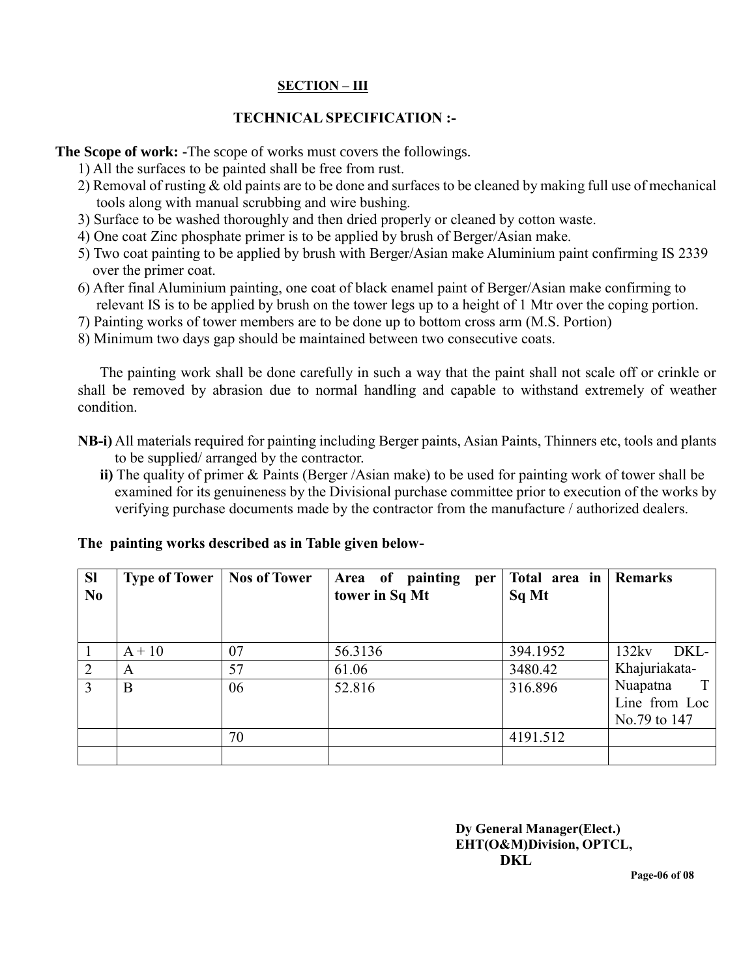## **SECTION – III**

## **TECHNICAL SPECIFICATION :-**

**The Scope of work: -**The scope of works must covers the followings.

- 1) All the surfaces to be painted shall be free from rust.
- 2) Removal of rusting & old paints are to be done and surfaces to be cleaned by making full use of mechanical tools along with manual scrubbing and wire bushing.
- 3) Surface to be washed thoroughly and then dried properly or cleaned by cotton waste.
- 4) One coat Zinc phosphate primer is to be applied by brush of Berger/Asian make.
- 5) Two coat painting to be applied by brush with Berger/Asian make Aluminium paint confirming IS 2339 over the primer coat.
- 6) After final Aluminium painting, one coat of black enamel paint of Berger/Asian make confirming to relevant IS is to be applied by brush on the tower legs up to a height of 1 Mtr over the coping portion.
- 7) Painting works of tower members are to be done up to bottom cross arm (M.S. Portion)
- 8) Minimum two days gap should be maintained between two consecutive coats.

The painting work shall be done carefully in such a way that the paint shall not scale off or crinkle or shall be removed by abrasion due to normal handling and capable to withstand extremely of weather condition.

- **NB-i)** All materials required for painting including Berger paints, Asian Paints, Thinners etc, tools and plants to be supplied/ arranged by the contractor.
	- **ii)** The quality of primer & Paints (Berger /Asian make) to be used for painting work of tower shall be examined for its genuineness by the Divisional purchase committee prior to execution of the works by verifying purchase documents made by the contractor from the manufacture / authorized dealers.

| <b>Sl</b><br>N <sub>0</sub> | <b>Type of Tower</b> | <b>Nos of Tower</b> | painting<br>Area of<br>per<br>tower in Sq Mt | Total area in<br>Sq Mt | <b>Remarks</b>                                 |
|-----------------------------|----------------------|---------------------|----------------------------------------------|------------------------|------------------------------------------------|
|                             | $A + 10$             | 07                  | 56.3136                                      | 394.1952               | 132kv<br>DKL-                                  |
| 2                           | A                    | 57                  | 61.06                                        | 3480.42                | Khajuriakata-                                  |
| 3                           | B                    | 06                  | 52.816                                       | 316.896                | Nuapatna<br>T<br>Line from Loc<br>No.79 to 147 |
|                             |                      | 70                  |                                              | 4191.512               |                                                |
|                             |                      |                     |                                              |                        |                                                |

#### **The painting works described as in Table given below-**

**Dy General Manager(Elect.) EHT(O&M)Division, OPTCL, DKL**

 **Page-06 of 08**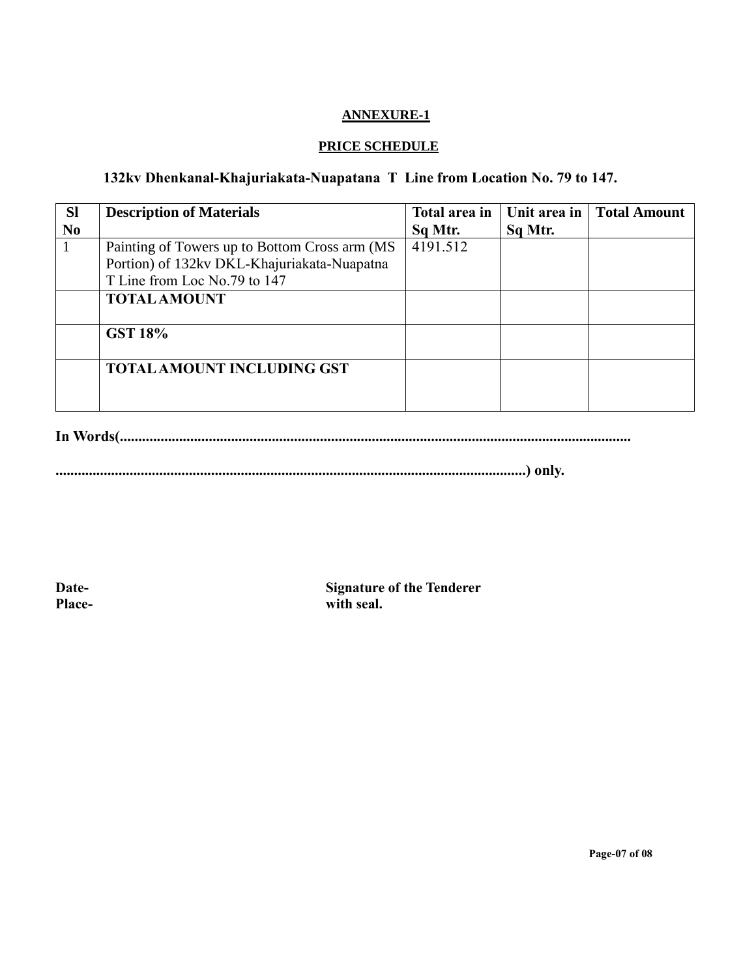#### **ANNEXURE-1**

## **PRICE SCHEDULE**

## **132kv Dhenkanal-Khajuriakata-Nuapatana T Line from Location No. 79 to 147.**

| <b>Sl</b>      | <b>Description of Materials</b>                | Total area in | Unit area in | <b>Total Amount</b> |
|----------------|------------------------------------------------|---------------|--------------|---------------------|
| N <sub>0</sub> |                                                | Sq Mtr.       | Sq Mtr.      |                     |
| 1              | Painting of Towers up to Bottom Cross arm (MS) | 4191.512      |              |                     |
|                | Portion) of 132kv DKL-Khajuriakata-Nuapatna    |               |              |                     |
|                | T Line from Loc No.79 to 147                   |               |              |                     |
|                | <b>TOTAL AMOUNT</b>                            |               |              |                     |
|                |                                                |               |              |                     |
|                | <b>GST 18%</b>                                 |               |              |                     |
|                |                                                |               |              |                     |
|                | <b>TOTAL AMOUNT INCLUDING GST</b>              |               |              |                     |
|                |                                                |               |              |                     |
|                |                                                |               |              |                     |

**In Words(..........................................................................................................................................**

**...............................................................................................................................) only.**

**Date- Signature of the Tenderer Place- with seal.**

**Page-07 of 08**